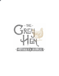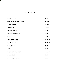# TABLE OF CONTENTS

적

| <b>OUR SINGLE BARREL LIST</b> | PG. 3-4       |
|-------------------------------|---------------|
| AMERICAN & CANADIANWHISK(E)Y  | PG. 5-11      |
| <b>Bourbon Whiskey</b>        | PG. 5-7       |
| American Rye                  | PG. 8-9       |
| Tennessee Whiskey             | PG. 10        |
| <b>Other American Whiskey</b> | PG. 10-       |
| Canadian                      | <b>PG. 11</b> |
| EUROPEAN WHISK(E)Y            | PG. 12-18     |
| Single Malt Scotch            | PG. 12-15     |
| <b>Blended Scotch</b>         | PG. 16        |
| Irish Whiskey                 | <b>PG. 17</b> |
| INTERNATIONAL WHISK(E)Y       | PG. 18-19     |
| Japanese Whisky               | <b>PG. 18</b> |
| Other International Whisk(e)y | PG. 19        |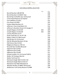# OUR SINGLE BARREL SELECTION

THE GREY HEN.

WHISKEY

SALOON

. . . . . . . . . . .

|                                               | 1 oz | 2 oz |
|-----------------------------------------------|------|------|
| Barrell Bourbon ABS #K738                     |      | \$30 |
| Barrell Bourbon CG #G637 14yr                 |      | \$30 |
| Barrell Rye CG #L950 13yr 124.8 proof         |      | \$30 |
| Crown Royal Reserve CG Orphan                 |      | \$17 |
| Evan Williams CG 2011                         |      | \$12 |
| <b>Four Roses CG OESK</b>                     |      | \$25 |
| Hudson Baby Bourbon CG                        |      | \$14 |
| Jefferson's Very Small Batch CG               |      | \$14 |
| Jefferson's Bourbon Ocean CG Voyage 17        |      | \$28 |
| Joseph Magnus CG #1149                        | \$25 | \$40 |
| Joseph Magnus CG #1229                        | \$25 | \$40 |
| Larceny Bourbon CG FF                         |      | \$12 |
| Knob Creek Rye CG W-2P F-06                   |      | \$14 |
| Maker's Mark CG 108.6 proof                   |      | \$20 |
| Old Elk Rye CG 112.8 proof                    |      | \$30 |
| Old Elk Wheated Bourbon CG 6yr                |      | \$28 |
| Old Potrero Rye CG #14                        |      | \$26 |
| Ridgemont Reserve 1792 CG                     |      | \$12 |
| Rossville Rye CG #38 100 proof                |      | \$18 |
| Sagamore Rye CG #25                           |      | \$17 |
| Sagamore Rye CG #45                           |      | \$17 |
| Sagamore Rye CG #49                           |      | \$17 |
| Smooth Ambler CG 115.6 proof (2021)           |      | \$15 |
| <b>Weller 107 Antique Marriot</b>             |      | \$25 |
| <b>Weller Full Proof CG</b>                   |      | \$27 |
| Westward Single Malt CG #16-116               |      | \$25 |
| Westward Single Malt CG #16-37                |      | \$25 |
| <b>Westward Two Malt Wheated CG</b>           |      | \$25 |
| Whiskey Del Bac CG #684 130.8 proof           |      | \$20 |
| <b>Wilderness Trail Family Reserve CG BBN</b> |      | \$18 |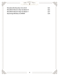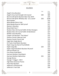## **BOURBON**

THE GREY HEN.

**WHISKEY** 

SALOON

........

...........

|                                                | 1 oz  | 2 oz  |
|------------------------------------------------|-------|-------|
| <b>Angel's Envy Bourbon</b>                    |       | \$14  |
| Angel's Envy Cask Strength 122.4 proof         | \$40  | \$80  |
| Barrel Craft Spirits Bourbon New Year 2019     |       | \$25  |
| Barrel Craft Spirits Whiskey 25yr 111.2 proof  | \$50. | \$100 |
| <b>Basil Hayden</b>                            |       | \$12  |
| <b>Belle Meade Sherry Cask</b>                 |       | \$22  |
| Belle Meade Reserve 108.3 proof                |       | \$17  |
| <b>Blanton's Bourbon</b>                       |       | \$25  |
| <b>Blood Oath Pact 7</b>                       |       | \$28  |
| Bookers Noe 124.4 proof (2021-4) Noe Strangers |       | \$27  |
| Bookers Noe 125.5 proof (2021-3) Bardstown     |       | \$27  |
| <b>Buffalo Trace Bourbon</b>                   |       | \$12  |
| Copper City Bourbon "The Palace"               |       | \$12  |
| Daviess County Cabernet Cask                   |       | \$13  |
| Daviess County French Oak                      |       | \$13  |
| Eagle Rare Single Barrel                       |       | \$13  |
| <b>EH Taylor Small Batch Bourbon</b>           |       | \$14  |
| Elijah Craig 12yr Barrel Proof (B520)          |       | \$30  |
| Elijah Craig 18yr                              | \$20  | \$35  |
| Elijah Craig Small Batch Bourbon 94 proof      |       | \$12  |
| Old Ezra Brooks 7yr                            |       | \$20  |
| <b>Four Roses Small Batch</b>                  |       | \$40  |
| <b>Garrison Brothers Small Batch</b>           |       | \$25  |
| <b>Garrison Brothers Balmorhea</b>             | \$25  | \$40  |
| George Remus                                   |       | \$12  |
| George T. Stagg Jr. 130.9                      |       | \$22  |
| <b>High West American Prairie</b>              |       | \$14  |
| Hirsch 8yr Bourbon                             |       | \$14  |
| Jefferson's Pritchard Hill                     |       | \$35  |
| Jefferson's Twin Oak                           |       | \$30  |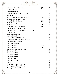| THE GREY<br><b>HEN</b>                    |      |      |
|-------------------------------------------|------|------|
| WHISKEY<br><b>SALOON</b>                  |      |      |
| Jefferson's Grand Selection               | \$30 | \$50 |
| Jim Beam Black                            |      | \$12 |
| <b>Jim Beam Bonded</b>                    |      | \$12 |
| Jim Beam Signature Quarter Cask           |      | \$14 |
| Johnny Drum                               |      | \$12 |
| Joseph Magnus Cigar Blend Batch 16        | \$30 | \$50 |
| Kentucky Owl Bourbon Batch 8              |      | \$90 |
| Kentucky Owl Confiscated                  | \$25 | \$40 |
| <b>Kentucky Vintage</b>                   |      | \$12 |
| Knob Creek 2001 LE #5                     | \$25 | \$40 |
| Knob Creek 25th Anniversary               | \$25 | \$40 |
| Larceny Bourbon 92 proof Liter            |      | \$12 |
| Larceny Bourbon Cask Strength 122.4 proof |      | \$25 |
| Little Book #2                            |      | \$25 |
| <b>Maker's Mark Bourbon</b>               |      | \$12 |
| Maker's Mark 46                           |      | \$14 |
| Maker's Mark WFS 109.1 FAE-02             |      | \$25 |
| Michter's US #1 Small Batch Bourbon       |      | \$15 |
| <b>Old Bardstown Bourbon</b>              |      | \$12 |
| Old Fitzgerald 8yr BIB                    |      | \$30 |
| Old Fitzgerald 11yr                       | \$20 | \$35 |
| Old Fitzgerald 14yr                       | \$40 | \$75 |
| Old Forester Bourbon 86 proof             |      | \$12 |
| Old Forester 1870                         |      | \$16 |
| Old Forester 1897                         |      | \$15 |
| Old Forester 1910                         |      | \$17 |
| Old Forester 1920                         |      | \$17 |
| Old Grand Dad                             |      | \$12 |
| Old Scout 107 proof                       |      | \$14 |
| Old Tub                                   |      | \$12 |
| Rabbit Hole Heigold Bourbon               |      | \$19 |
| <b>Redemption Wheated Bourbon</b>         |      | \$13 |
| <b>Redemption Tyler's Mistake</b>         |      | \$15 |
|                                           |      |      |

6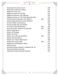| <b>Redemption 9yr Barrel Proof</b>          |      | \$28 |
|---------------------------------------------|------|------|
| <b>Redwood Lost Monarch Blend</b>           |      | \$12 |
| Ridgemont 1792 12yr                         |      | \$25 |
| <b>Ridgemont Reserve 1792 BIB</b>           |      | \$12 |
| Ridgemont Reserve 1792 High Rye             |      | \$20 |
| Ridgemont Reserve 1792 Small Batch Bourbon  |      | \$12 |
| Russell's Reserve Bourbon 16yr 2003 LE      | \$40 | \$75 |
| Smoke Wagon Bourbon Uncut Unfiltered        |      | \$20 |
| <b>Smooth Ambler Contradiction</b>          |      | \$13 |
| Smooth Ambler Big Level Wheat               |      | \$16 |
| Very Old St. Nick 8yr Bourbon               | \$30 | \$50 |
| Very Old St. Nick Antique 12yr Bourbon      | \$35 | \$60 |
| <b>Weller Single Barrel</b>                 |      | \$20 |
| Weller 107 Antique                          |      | \$25 |
| <b>Weller Full Proof</b>                    |      | \$27 |
| Weller Larue 125.3 proof (2021)             | \$40 | \$75 |
| <b>Widow Jane Decadence</b>                 |      | \$25 |
| Widow Jane "Never Walk Alone"               |      | \$30 |
| <b>Widow Jane Vaults 2020</b>               | \$40 | \$75 |
| <b>Wilderness Trail Bottled-in-Bond</b>     |      | \$18 |
| <b>Willet Pot Still</b>                     |      | \$15 |
| Woodford Reserve Master's Collection No. 16 |      | \$50 |
| Wyoming Whiskey Outryder                    |      | \$21 |
| Yellowstone Select Bourbon 93 proof         |      | \$12 |

THE GREY HEN.

WHISKEY

SALOON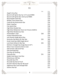

THE GREY HEN.

WHISKEY SALOON

...........

............

. . . . . . . . . .

|                                               | 1 oz | 2 oz |
|-----------------------------------------------|------|------|
| Angel's Envy Rye                              |      | \$24 |
| Barrel Craft Spirits Rye 5yr 117.5 proof #002 |      | \$25 |
| Barrel Craft Spirits Rye 118.4 proof #005     |      | \$19 |
| <b>Basil Hayden Dark Rye</b>                  |      | \$16 |
| <b>Buffalo Trace Kosher Rye</b>               |      | \$25 |
| Castle & Key Restoration Rye                  |      | \$16 |
| Elijah Craig Rye                              |      | \$12 |
| <b>Few Spirits Rye</b>                        |      | \$18 |
| High West Double Rye                          |      | \$12 |
| High West Midwinter Dram Act 9 Scene 2(2021)  |      | \$30 |
| <b>High West Rendezvous Rye</b>               |      | \$29 |
| Hochstadter's 16yr                            | \$30 | \$55 |
| Hudson Manhattan Rye                          |      | \$16 |
| Jack Daniels Single Barrel Rye                |      | \$15 |
| Kentucky Owl Batch #3 10yr Rye                | \$35 | \$60 |
| Knob Creek Rye 2009 Single Barrel             |      | \$20 |
| Lock Stock & Barrel 18yr Rye                  | \$35 | \$60 |
| Michter's Straight Rye Single Barrel US*1     |      | \$20 |
| Minor Case Limestone Sherry Cask              |      | \$16 |
| Old Forester 100 proof Rye                    |      | \$12 |
| Old Overholdt Rye                             |      | \$12 |
| Park Rye AZ Distilling                        |      | \$18 |
| Pikesville Rye                                | \$31 | \$16 |
| Rabbit Hole Boxer Grail Rye                   |      | \$15 |
| Rittenhouse 100 Rye                           |      | \$12 |
| Rossville Rye 47%                             |      | \$14 |
| <b>Rossville Rye Barrel Proof</b>             |      | \$20 |
| Russell's Reserve Rye 6yr 90 proof            |      | \$15 |
| Sagamore Rye Cask Strength #20                |      | \$17 |
| Sazerac Rye 6yr                               |      | \$12 |
|                                               |      |      |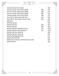| <b>Templeton Barrel Strength</b>           |      | \$20  |
|--------------------------------------------|------|-------|
| Thomas Handy 126.2 proof (2016)            | \$40 | \$75  |
| Thomas Handy 128.8 proof (2018)            | \$40 | \$75  |
| Thomas Handy 129.0 proof (2020)            | \$40 | \$75  |
| Thomas Handy 129.5 proof (2021)            | \$40 | \$75  |
| Very Old St. Nick Ancient 8yr Rye          | \$25 | \$45  |
| Very Old St. Nick Estate Summer Rye        | \$25 | \$45  |
| Whipsaw                                    |      | \$14  |
| Whistle Pig 10yr                           |      | \$24  |
| Whistle Pig 12yr                           | \$20 | \$35  |
| Whistle Pig 15yr                           | \$35 | \$60  |
| Whistle Pig Boss Hog Black Prince          | \$75 | \$125 |
| Whistle Pig Boss Hog Lapulapu's            | \$75 | \$125 |
| Whistle Pig Farm Stock #2                  |      | \$18  |
| Whistle Pig Farm Stock #3                  |      | \$22  |
| Whistle Pig Piggy Back Rye                 |      | \$13  |
| Wild Turkey 101 Rye                        |      | \$12  |
| Wilderness Trail Rye 120 Proof Green Label |      | \$15  |
| Willet 4yr Rye                             |      | \$18  |

. THE GREY HEN.

. . . . . . . . . . .

.............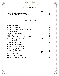#### TENNESSEE WHISKEY

THE GREY HEN.

SALOON

 $\cdots$ 

. . . . . . .

|                                      | 1 OZ | 2 oz |
|--------------------------------------|------|------|
| Jack Daniel's Single Barrel Select   |      | \$16 |
| Jack Daniel's 10yr Tennessee Whiskey |      | \$20 |

WHISKEY

#### AMERICAN WHISKEY

|                                           | 1 oz | 2 oz |
|-------------------------------------------|------|------|
| <b>Barrel Craft Spirits #016</b>          |      | \$25 |
| <b>Barrel Craft Spirits Dovetail</b>      |      | \$25 |
| Barrel Craft Spirits Infinite 118.6 proof |      | \$19 |
| Bernheim Wheat                            |      | \$12 |
| High West Silver West Oat                 |      | \$12 |
| <b>Mellow Corn</b>                        |      | \$12 |
| Michter's Small Batch American Whiskey    |      | \$20 |
| Parker's Heritage Wheat 11yr              | \$20 | \$35 |
| St. George Baller                         |      | \$19 |
| St. George Single Malt #19                |      | \$28 |
| St. George Single Malt #20                |      | \$30 |
| Stranahan's Rocky Mountain                |      | \$15 |
| <b>Stranahan's Diamond Peak</b>           |      | \$19 |
| <b>Stranahan's Sherry Cask</b>            |      | \$22 |
| Westland Garryana                         | \$25 | \$40 |
| <b>Westland Peated Cask</b>               |      | \$22 |
| <b>Whiskey Del Bac Classic</b>            |      | \$16 |
| Woodford Reserve Oat & Grain              |      | \$28 |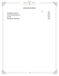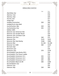## SINGLE MALT SCOTCH

THE GREY HEN.

SALOON

WHISKEY

 $\cdots$ 

...........

..........

|                                         | 1 oz    | 2 oz    |
|-----------------------------------------|---------|---------|
| Aberfeldy 12yr                          |         | \$14    |
| Aberlour 12yr                           |         | \$18    |
| Aberlour 16yr                           |         | \$29    |
| Ancnoc 12yr                             |         | \$17    |
| Arbeg 10yr                              |         | \$21    |
| Ardbeg Coryvreckan                      | \$20    | \$40    |
| Ardbeg Drum Islay Malt                  |         | \$37    |
| Auchentoshan 18yr                       | \$20    | \$40    |
| Auchentoshan 21yr                       | \$35    | \$70    |
| <b>Balblair 2005</b>                    |         | \$25    |
| Balvenie 12yr American Oak              |         | \$21    |
| Balvenie 12yr Double Wood               |         | \$19    |
| Balvenie 14yr Carribean Cask            |         | \$30    |
| <b>Balvenie 21yr Port</b>               | \$40    | \$75    |
| <b>Balvenie 25yr</b>                    | \$125   | \$235   |
| <b>Balvenie 26yr Dark Barley</b>        | \$160   | \$300   |
| Balvenie 40yr                           | \$1,150 | \$2,100 |
| <b>Balvenie Tun 1509</b>                | \$60    | \$120   |
| Benriach 10yr                           |         | \$17    |
| Bowmore 12yr                            |         | \$16    |
| Bowmore 23yr                            | \$70    | \$130   |
| <b>Bruichladdich Islay Barley 2011</b>  |         | \$24    |
| <b>Bruichladdich The Classic Laddie</b> |         | \$16    |
| <b>Bruichladdich Octomore 12.1</b>      | \$35    | \$70    |
| <b>Bruichladdich Octomore 12.2</b>      | \$40    | \$80    |
| <b>Bruichladdich Octomore 12.3</b>      | \$45    | \$90    |
| Bruichladdich Black Art #9              | \$90    | \$180   |
| Bunnahabhain 12yr                       |         | \$20    |
| Dalmore 15yr                            |         | \$35    |
| Dalmore 18yr                            | \$30    | \$60    |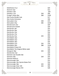| GREY<br>THE                                 |      |       |
|---------------------------------------------|------|-------|
| WHISKEY<br><b>SALOON</b>                    |      |       |
| Dalwhinnie 15 yr                            |      | \$24  |
| Deveron 12yr                                |      | \$12  |
| <b>Edradour 10yr</b>                        |      | \$20  |
| Edradour 11yr                               | \$50 | \$90  |
| Forager's Keep 26yr                         | \$60 | \$100 |
| <b>Glen Scotia Double Cask</b>              |      | \$17  |
| Glen Scotia Victoriana                      |      | \$30  |
| Glencadam 21yr                              | \$40 | \$75  |
| Glencadam 25yr                              | \$85 | \$150 |
| Glendronach 12yr                            |      | \$20  |
| <b>Glendronach Peated</b>                   |      | \$20  |
| Glenfarclas 105                             |      | \$25  |
| Glenfarclas 10yr                            |      | \$15  |
| Glenfarclas 12yr                            |      | \$16  |
| Glenfarclas 17yr                            |      | \$35  |
| Glenfarclas 21yr                            | \$25 | \$50  |
| Glenfiddich 14yr                            |      | \$20  |
| Glenfiddich 15yr                            |      | \$22  |
| Glenfiddich 18yr                            |      | \$35  |
| Glenfiddich 21yr                            | \$35 | \$70  |
| Glenfiddich 26yr                            | \$80 | \$150 |
| <b>Glenfiddich Project XX</b>               |      | \$25  |
| <b>Glenfiddich The Original White Label</b> |      | \$28  |
| Glengrant 18yr                              | \$25 | \$40  |
| Glenkinchie 12yr                            |      | \$20  |
| Glenlivet 12yr Double Oak                   |      | \$18  |
| <b>Glenlivet 18yr</b>                       | \$20 | \$35  |
| <b>Glenlivet Nadurra</b>                    |      | \$23  |
| Glenmorangie 10yr                           |      | \$15  |
| Glenmorangie 14yr Quinta Ruban Port         |      | \$16  |
| Glenmorangie 18yr                           | \$25 | \$40  |
| Glenmorangie Astar 105                      | \$25 | \$40  |
| Glenmorangie Nectar d'Or                    |      | \$28  |

13

..........................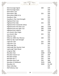| GREY<br>E                                 |       |         |
|-------------------------------------------|-------|---------|
| WHISKEY<br>SALOON                         |       |         |
|                                           |       |         |
| <b>Glenmorangie Signet</b>                | \$40  | \$70    |
| <b>Glenmorangie Spios</b>                 |       | \$40    |
| Glenrothes 12yr                           |       | \$15    |
| Glenrothes 18yr                           | \$25  | \$40    |
| Glenrothes WMC 97.6                       |       | \$21    |
| Hazelburn 10yr                            |       | \$20    |
| Hazelburn 15yr Cask Strength              | \$30  | \$50    |
| <b>Highland Park 12yr</b>                 |       | \$20    |
| <b>Highland Park 18yr</b>                 | \$25  | \$40    |
| <b>Highland Park Twisted &amp; Tattoo</b> |       | \$30    |
| <b>Highland Park The Dark 17yr</b>        | \$60  | \$100   |
| Highland Park the Light 17yr              | \$60  | \$100   |
| <b>Highland Park Valknut</b>              | \$60  | \$100   |
| Jura Scotch 10yr Origin                   |       | \$16    |
| Jura Scotch 18yr                          | \$25  | \$45    |
| Kilkerran 12yr                            |       | \$20    |
| Kilkerran 2004 15yr Oloroso               | \$30  | \$50    |
| Kilkerran 8yr Cask Strength               |       | \$26    |
| Lagavulin 16yr                            | \$25  | \$40    |
| Laguvulin 11yr                            | \$25  | \$40    |
| Laphroaig 10yr                            |       | \$17    |
| Laphroaig 10yr Quarter Cask               |       | \$22    |
| Laphroaig Triple Wood                     |       | \$22    |
| Longrow 18yr                              | \$30  | \$50    |
| Macallan 25yr                             | \$300 | \$550   |
| <b>Macallan Classic Cut</b>               | \$25  | \$40    |
| <b>Macallan Estate</b>                    | \$40  | \$70    |
| Macallan No. 5                            | \$25  | \$40    |
| <b>Macallan Rare Cask</b>                 | \$50  | \$80    |
| <b>Macallan V5 Reflexion</b>              | \$225 | \$400   |
| Macallan V6                               | \$650 | \$1,150 |
| Oban Little Bay                           |       | \$25    |
| Old Pulteney 12yr                         |       | \$15    |

14

......................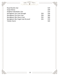| <b>SALOON</b><br>WHISKEY             |      |      |
|--------------------------------------|------|------|
|                                      |      |      |
| Royal Brackla 12yr                   |      | \$19 |
| Scapa Glansa                         |      | \$30 |
| Singleton Glendullan 12yr            |      | \$14 |
| Springbank 12yr Cask Strength        | \$20 | \$30 |
| Springbank 15yr Rum Cask             | \$30 | \$60 |
| Springbank 18yr Sherry Cask          | \$35 | \$60 |
| Springbank 18yr Single Cask 92 proof | \$35 | \$70 |
| <b>Talisker Storm</b>                |      | \$24 |

THE GREY HEN.

. . . . . . . . . . . . .

..................................

 $\ddot{\phantom{a}}$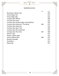## BLENDED SCOTCH

THE GREY HEN.

WHISKEY

SALOON

. . . . . . . . . .

. . . . . . . . . . .

|                                           | 1 oz | 2 oz |
|-------------------------------------------|------|------|
| Buchanan's Deluxe 12yr                    |      | \$19 |
| Chivas Regal 12yr                         |      | \$13 |
| Chivas Regal 18yr                         |      | \$15 |
| <b>Compass Box Affinity</b>               |      | \$40 |
| <b>Compass Box Asyla</b>                  |      | \$16 |
| Compass Box Double Single Limited Edition |      | \$50 |
| <b>Compass Box Hedonism "The Muse"</b>    | \$40 | \$75 |
| <b>Compass Box Hedonism</b>               |      | \$32 |
| <b>Compass Box Spice Tree</b>             |      | \$20 |
| <b>Compass Box Story Spaniard</b>         |      | \$24 |
| <b>Compass Box The Circle</b>             | \$22 | \$40 |
| Dewar's 12yr                              |      | \$13 |
| Dewar's White Label                       |      | \$12 |
| Johnny Walker Blue                        | \$40 | \$70 |
| <b>Monkey Shoulder</b>                    |      | \$12 |
| Shackleton                                |      | \$12 |
| Sheep Dip                                 |      | \$17 |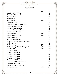## IRISH WHISKEY

THE GREY HEN.

WHISKEY

SALOON

..........

........

|                                     | 1 oz | 2 oz  |
|-------------------------------------|------|-------|
| <b>Blue Spot Irish Whiskey</b>      |      | \$30  |
| <b>Bushmills White Label</b>        |      | \$12  |
| <b>Bushmills 10yr</b>               |      | \$15  |
| <b>Bushmills 16yr</b>               |      | \$30  |
| <b>Bushmills 21yr</b>               | \$35 | \$70  |
| Connemara 12yr                      |      | \$22  |
| Connemara Cask Strength 115.8       |      | \$20  |
| Green Spot Irish Whisky             |      | \$16  |
| <b>Jameson Cask Mates IPA</b>       |      | \$13  |
| Jameson Cask Mates Stout            |      | \$13  |
| Jameson Irish Whiskey               |      | \$12  |
| Midleton 2018                       | \$35 | \$60  |
| <b>Midleton Barry Crokett</b>       | \$35 | \$60  |
| <b>Powers Irish Gold</b>            |      | \$12  |
| Red Spot Irish Whiskey              |      | \$30  |
| Redbreast Cask Strength 117.4 proof |      | \$35  |
| Redbreast 12yr                      |      | \$18  |
| Redbreast 21yr                      | \$50 | \$90  |
| Redbreast 27yr Batch2 109.2 proof   | \$75 | \$140 |
| Teeling 24yr                        | \$85 | \$150 |
| <b>Tullamore DEW</b>                |      | \$12  |
| <b>Tullamore DEW 12yr</b>           |      | \$13  |
| Tullamore DEW 14yr                  |      | \$22  |
| <b>Tullamore DEW 18yr</b>           |      | \$30  |
| <b>Tullamore DEW Cider</b>          |      | \$12  |
| <b>Tullamore DEW Phoenix</b>        |      | \$20  |
| <b>Tullamore DEW XO Rum Cask</b>    |      | \$15  |
| <b>Tyrconnell Port Cask</b>         |      | \$23  |
| <b>Tyrconnell Sherry Cask 10yr</b>  |      | \$23  |
| <b>Yellow Spot 12yr</b>             | \$25 | \$40  |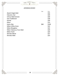## JAPANESE WHISKY

THE GREY HEN.

WHISKEY

SALOON

|                                 | 1 oz | 2 oz  |
|---------------------------------|------|-------|
| Akashi Single Malt              |      | \$32  |
| Hakushu 12yr                    |      | \$40  |
| <b>Ichiros Malt &amp; Grain</b> |      | \$30  |
| <b>Iwai Traditional</b>         |      | \$18  |
| Kamiki                          |      | \$20  |
| Kikori                          |      | \$13  |
| Kujira 20yr                     | \$60 | \$100 |
| Nikka Coffee Grain              |      | \$22  |
| Nikka Miyagikyo                 |      | \$22  |
| Nikka Taketsuru Pure Malt       |      | \$20  |
| Nikka Yoichi                    |      | \$24  |
| Shinobu Blend                   |      | \$17  |
| Shinobu Malt                    |      | \$23  |

............